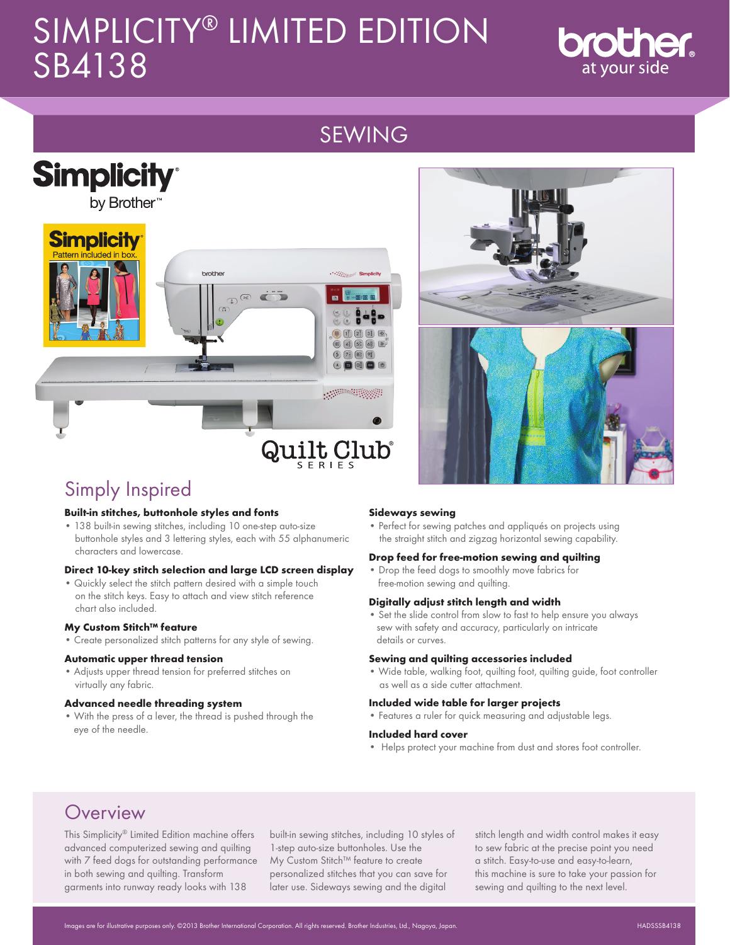# SIMPLICITY® LIMITED EDITION SB4138



# SEWING





# Simply Inspired

#### **Built-in stitches, buttonhole styles and fonts**

• 138 built-in sewing stitches, including 10 one-step auto-size buttonhole styles and 3 lettering styles, each with 55 alphanumeric characters and lowercase.

#### **Direct 10-key stitch selection and large LCD screen display**

• Quickly select the stitch pattern desired with a simple touch on the stitch keys. Easy to attach and view stitch reference chart also included.

#### **My Custom Stitch™ feature**

• Create personalized stitch patterns for any style of sewing.

#### **Automatic upper thread tension**

• Adjusts upper thread tension for preferred stitches on virtually any fabric.

#### **Advanced needle threading system**

• With the press of a lever, the thread is pushed through the eye of the needle.

#### **Sideways sewing**

• Perfect for sewing patches and appliqués on projects using the straight stitch and zigzag horizontal sewing capability.

#### **Drop feed for free-motion sewing and quilting**

• Drop the feed dogs to smoothly move fabrics for free-motion sewing and quilting.

#### **Digitally adjust stitch length and width**

• Set the slide control from slow to fast to help ensure you always sew with safety and accuracy, particularly on intricate details or curves.

#### **Sewing and quilting accessories included**

• Wide table, walking foot, quilting foot, quilting guide, foot controller as well as a side cutter attachment.

#### **Included wide table for larger projects**

• Features a ruler for quick measuring and adjustable legs.

#### **Included hard cover**

• Helps protect your machine from dust and stores foot controller.

## **Overview**

This Simplicity® Limited Edition machine offers advanced computerized sewing and quilting with 7 feed dogs for outstanding performance in both sewing and quilting. Transform garments into runway ready looks with 138

built-in sewing stitches, including 10 styles of 1-step auto-size buttonholes. Use the My Custom Stitch™ feature to create personalized stitches that you can save for later use. Sideways sewing and the digital

stitch length and width control makes it easy to sew fabric at the precise point you need a stitch. Easy-to-use and easy-to-learn, this machine is sure to take your passion for sewing and quilting to the next level.